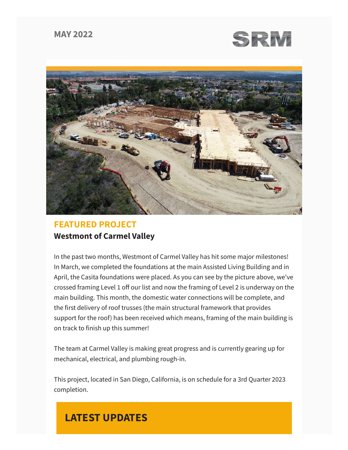## **MAY 2022**





# **FEATURED PROJECT Westmont of Carmel Valley**

In the past two months, Westmont of Carmel Valley has hit some major milestones! In March, we completed the foundations at the main Assisted Living Building and in April, the Casita foundations were placed. As you can see by the picture above, we've crossed framing Level 1 off our list and now the framing of Level 2 is underway on the main building. This month, the domestic water connections will be complete, and the first delivery of roof trusses (the main structural framework that provides support for the roof) has been received which means, framing of the main building is on track to finish up this summer!

The team at Carmel Valley is making great progress and is currently gearing up for mechanical, electrical, and plumbing rough-in.

This project, located in San Diego, California, is on schedule for a 3rd Quarter 2023 completion.

# **LATEST UPDATES**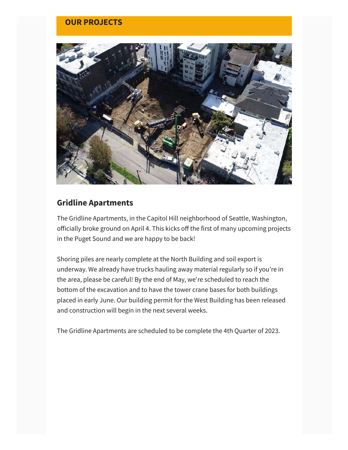### **OUR PROJECTS**



# **Gridline Apartments**

The Gridline Apartments, in the Capitol Hill neighborhood of Seattle, Washington, officially broke ground on April 4. This kicks off the first of many upcoming projects in the Puget Sound and we are happy to be back!

Shoring piles are nearly complete at the North Building and soil export is underway. We already have trucks hauling away material regularly so if you're in the area, please be careful! By the end of May, we're scheduled to reach the bottom of the excavation and to have the tower crane bases for both buildings placed in early June. Our building permit for the West Building has been released and construction will begin in the next several weeks.

The Gridline Apartments are scheduled to be complete the 4th Quarter of 2023.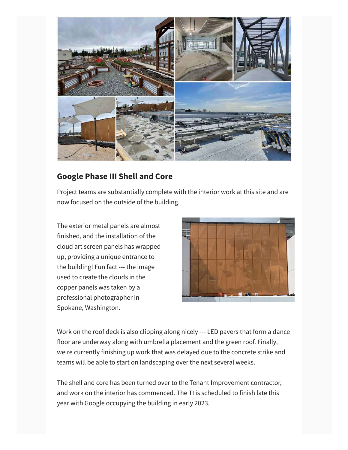

## **Google Phase III Shell and Core**

Project teams are substantially complete with the interior work at this site and are now focused on the outside of the building.

The exterior metal panels are almost finished, and the installation of the cloud art screen panels has wrapped up, providing a unique entrance to the building! Fun fact --- the image used to create the clouds in the copper panels was taken by a professional photographer in Spokane, Washington.



Work on the roof deck is also clipping along nicely --- LED pavers that form a dance floor are underway along with umbrella placement and the green roof. Finally, we're currently finishing up work that was delayed due to the concrete strike and teams will be able to start on landscaping over the next several weeks.

The shell and core has been turned over to the Tenant Improvement contractor, and work on the interior has commenced. The TI is scheduled to finish late this year with Google occupying the building in early 2023.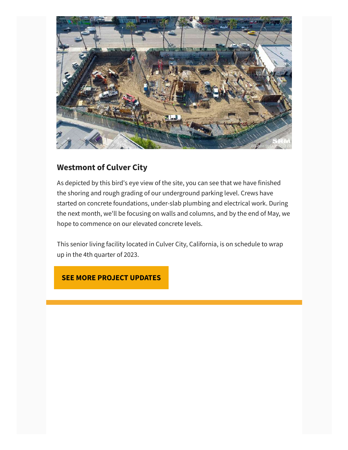

# **Westmont of Culver City**

As depicted by this bird's eye view of the site, you can see that we have finished the shoring and rough grading of our underground parking level. Crews have started on concrete foundations, under-slab plumbing and electrical work. During the next month, we'll be focusing on walls and columns, and by the end of May, we hope to commence on our elevated concrete levels.

This senior living facility located in Culver City, California, is on schedule to wrap up in the 4th quarter of 2023.

### **SEE MORE PROJECT UPDATES**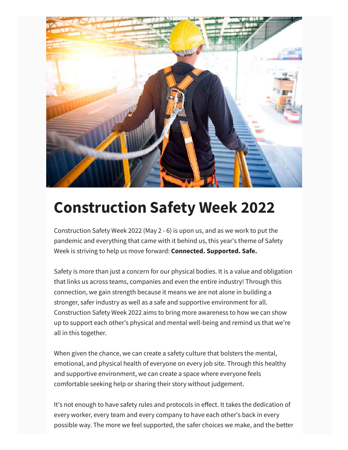

# **Construction Safety Week 2022**

Construction Safety Week 2022 (May 2 - 6) is upon us, and as we work to put the pandemic and everything that came with it behind us, this year's theme of Safety Week is striving to help us move forward: **Connected. Supported. Safe.**

Safety is more than just a concern for our physical bodies. It is a value and obligation that links us across teams, companies and even the entire industry! Through this connection, we gain strength because it means we are not alone in building a stronger, safer industry as well as a safe and supportive environment for all. Construction Safety Week 2022 aims to bring more awareness to how we can show up to support each other's physical and mental well-being and remind us that we're all in this together.

When given the chance, we can create a safety culture that bolsters the mental, emotional, and physical health of everyone on every job site. Through this healthy and supportive environment, we can create a space where everyone feels comfortable seeking help or sharing their story without judgement.

It's not enough to have safety rules and protocols in effect. It takes the dedication of every worker, every team and every company to have each other's back in every possible way. The more we feel supported, the safer choices we make, and the better